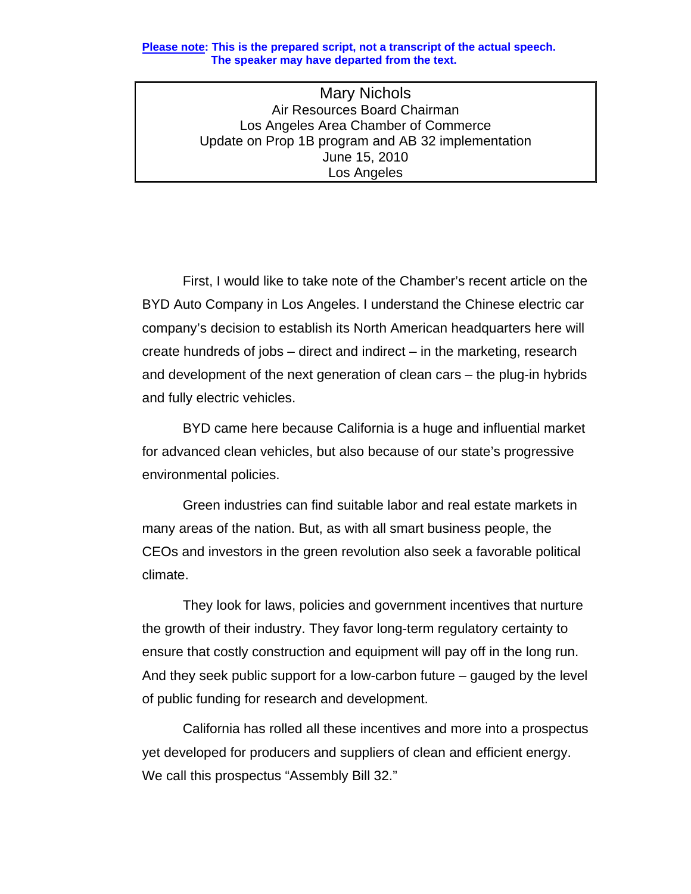## **Please note: This is the prepared script, not a transcript of the actual speech. The speaker may have departed from the text.**

Mary Nichols Air Resources Board Chairman Los Angeles Area Chamber of Commerce Update on Prop 1B program and AB 32 implementation June 15, 2010 Los Angeles

 First, I would like to take note of the Chamber's recent article on the BYD Auto Company in Los Angeles. I understand the Chinese electric car company's decision to establish its North American headquarters here will create hundreds of jobs – direct and indirect – in the marketing, research and development of the next generation of clean cars – the plug-in hybrids and fully electric vehicles.

 BYD came here because California is a huge and influential market for advanced clean vehicles, but also because of our state's progressive environmental policies.

Green industries can find suitable labor and real estate markets in many areas of the nation. But, as with all smart business people, the CEOs and investors in the green revolution also seek a favorable political climate.

 They look for laws, policies and government incentives that nurture the growth of their industry. They favor long-term regulatory certainty to ensure that costly construction and equipment will pay off in the long run. And they seek public support for a low-carbon future – gauged by the level of public funding for research and development.

 California has rolled all these incentives and more into a prospectus yet developed for producers and suppliers of clean and efficient energy. We call this prospectus "Assembly Bill 32."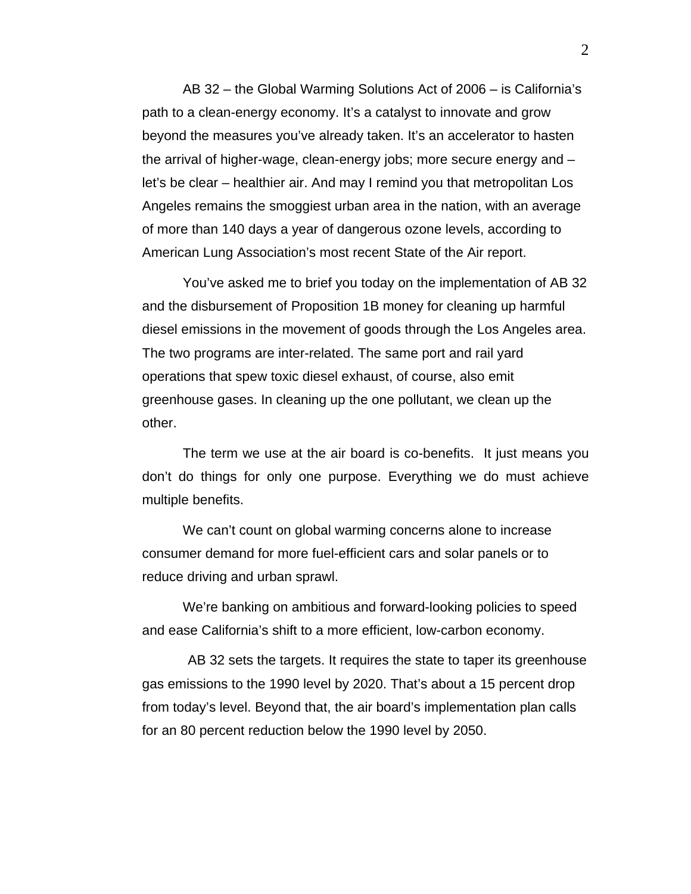AB 32 – the Global Warming Solutions Act of 2006 – is California's path to a clean-energy economy. It's a catalyst to innovate and grow beyond the measures you've already taken. It's an accelerator to hasten the arrival of higher-wage, clean-energy jobs; more secure energy and – let's be clear – healthier air. And may I remind you that metropolitan Los Angeles remains the smoggiest urban area in the nation, with an average of more than 140 days a year of dangerous ozone levels, according to American Lung Association's most recent State of the Air report.

 You've asked me to brief you today on the implementation of AB 32 and the disbursement of Proposition 1B money for cleaning up harmful diesel emissions in the movement of goods through the Los Angeles area. The two programs are inter-related. The same port and rail yard operations that spew toxic diesel exhaust, of course, also emit greenhouse gases. In cleaning up the one pollutant, we clean up the other.

 The term we use at the air board is co-benefits. It just means you don't do things for only one purpose. Everything we do must achieve multiple benefits.

 We can't count on global warming concerns alone to increase consumer demand for more fuel-efficient cars and solar panels or to reduce driving and urban sprawl.

 We're banking on ambitious and forward-looking policies to speed and ease California's shift to a more efficient, low-carbon economy.

 AB 32 sets the targets. It requires the state to taper its greenhouse gas emissions to the 1990 level by 2020. That's about a 15 percent drop from today's level. Beyond that, the air board's implementation plan calls for an 80 percent reduction below the 1990 level by 2050.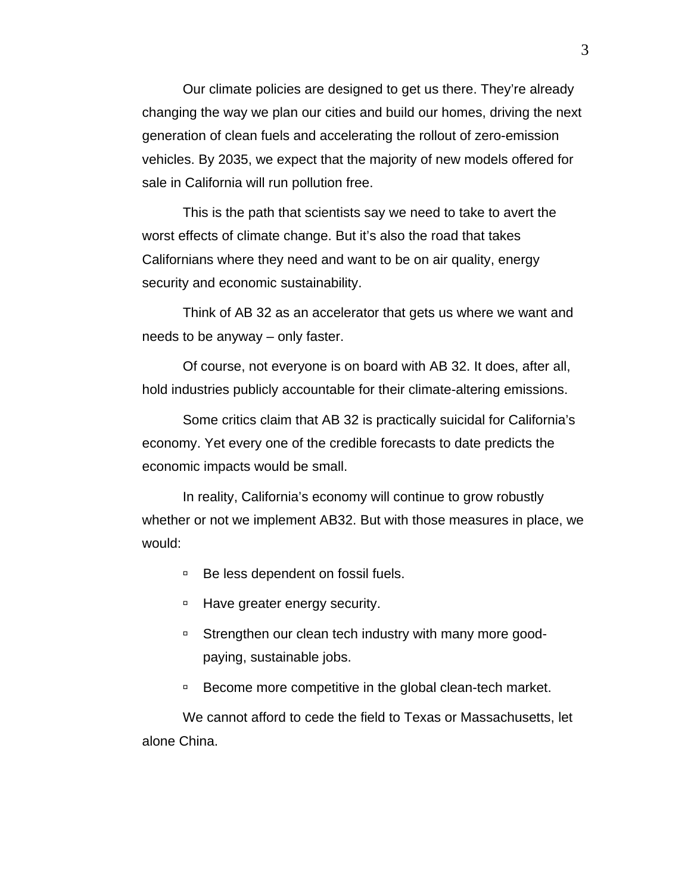Our climate policies are designed to get us there. They're already changing the way we plan our cities and build our homes, driving the next generation of clean fuels and accelerating the rollout of zero-emission vehicles. By 2035, we expect that the majority of new models offered for sale in California will run pollution free.

 This is the path that scientists say we need to take to avert the worst effects of climate change. But it's also the road that takes Californians where they need and want to be on air quality, energy security and economic sustainability.

 Think of AB 32 as an accelerator that gets us where we want and needs to be anyway – only faster.

 Of course, not everyone is on board with AB 32. It does, after all, hold industries publicly accountable for their climate-altering emissions.

 Some critics claim that AB 32 is practically suicidal for California's economy. Yet every one of the credible forecasts to date predicts the economic impacts would be small.

 In reality, California's economy will continue to grow robustly whether or not we implement AB32. But with those measures in place, we would:

- □ Be less dependent on fossil fuels.
- □ Have greater energy security.
- □ Strengthen our clean tech industry with many more goodpaying, sustainable jobs.
- □ Become more competitive in the global clean-tech market.

 We cannot afford to cede the field to Texas or Massachusetts, let alone China.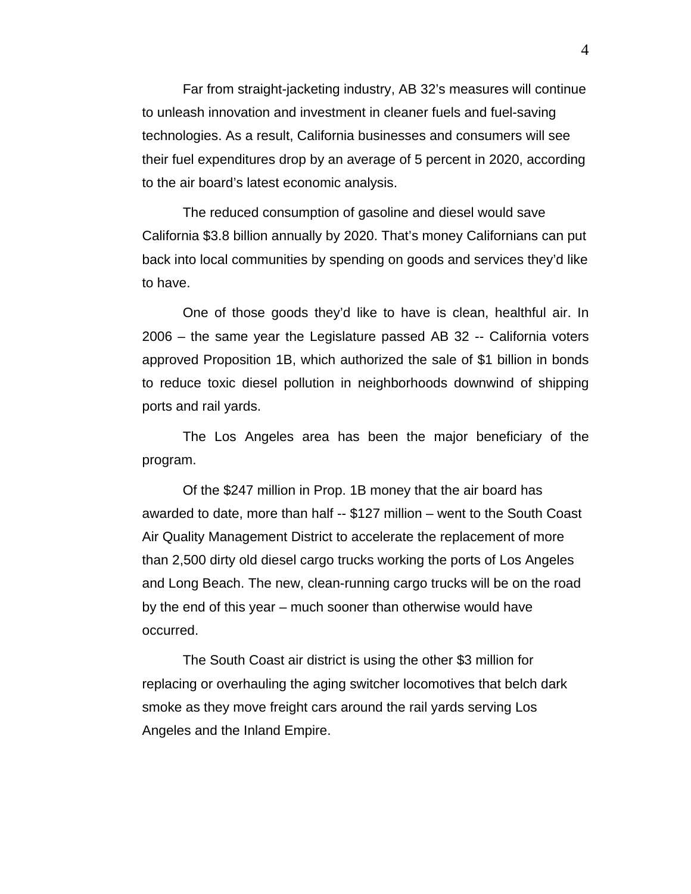Far from straight-jacketing industry, AB 32's measures will continue to unleash innovation and investment in cleaner fuels and fuel-saving technologies. As a result, California businesses and consumers will see their fuel expenditures drop by an average of 5 percent in 2020, according to the air board's latest economic analysis.

 The reduced consumption of gasoline and diesel would save California \$3.8 billion annually by 2020. That's money Californians can put back into local communities by spending on goods and services they'd like to have.

 One of those goods they'd like to have is clean, healthful air. In 2006 – the same year the Legislature passed AB 32 -- California voters approved Proposition 1B, which authorized the sale of \$1 billion in bonds to reduce toxic diesel pollution in neighborhoods downwind of shipping ports and rail yards.

 The Los Angeles area has been the major beneficiary of the program.

 Of the \$247 million in Prop. 1B money that the air board has awarded to date, more than half -- \$127 million – went to the South Coast Air Quality Management District to accelerate the replacement of more than 2,500 dirty old diesel cargo trucks working the ports of Los Angeles and Long Beach. The new, clean-running cargo trucks will be on the road by the end of this year – much sooner than otherwise would have occurred.

 The South Coast air district is using the other \$3 million for replacing or overhauling the aging switcher locomotives that belch dark smoke as they move freight cars around the rail yards serving Los Angeles and the Inland Empire.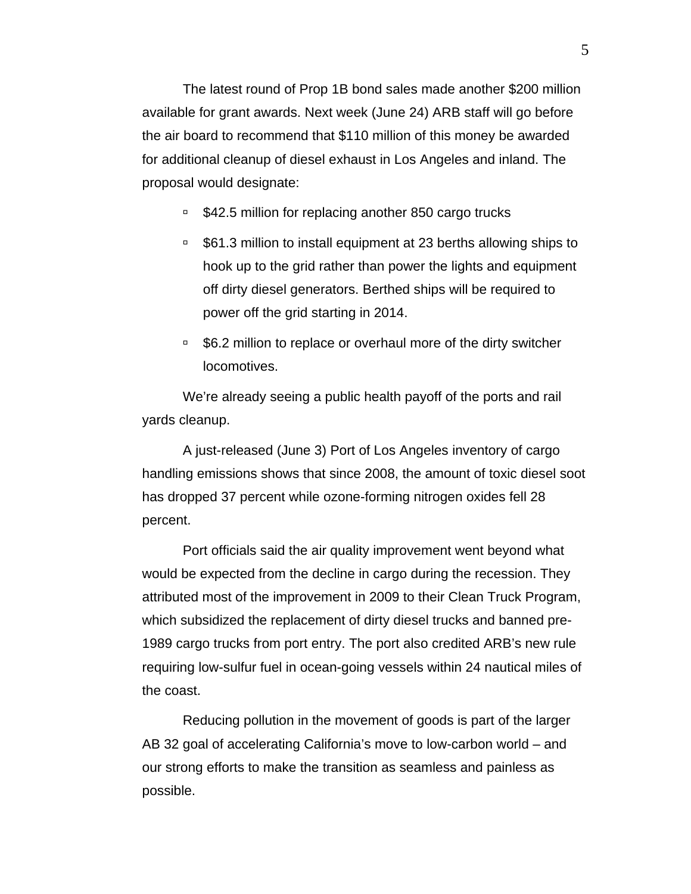The latest round of Prop 1B bond sales made another \$200 million available for grant awards. Next week (June 24) ARB staff will go before the air board to recommend that \$110 million of this money be awarded for additional cleanup of diesel exhaust in Los Angeles and inland. The proposal would designate:

- \$42.5 million for replacing another 850 cargo trucks
- □ \$61.3 million to install equipment at 23 berths allowing ships to hook up to the grid rather than power the lights and equipment off dirty diesel generators. Berthed ships will be required to power off the grid starting in 2014.
- □ \$6.2 million to replace or overhaul more of the dirty switcher locomotives.

 We're already seeing a public health payoff of the ports and rail yards cleanup.

 A just-released (June 3) Port of Los Angeles inventory of cargo handling emissions shows that since 2008, the amount of toxic diesel soot has dropped 37 percent while ozone-forming nitrogen oxides fell 28 percent.

 Port officials said the air quality improvement went beyond what would be expected from the decline in cargo during the recession. They attributed most of the improvement in 2009 to their Clean Truck Program, which subsidized the replacement of dirty diesel trucks and banned pre-1989 cargo trucks from port entry. The port also credited ARB's new rule requiring low-sulfur fuel in ocean-going vessels within 24 nautical miles of the coast.

 Reducing pollution in the movement of goods is part of the larger AB 32 goal of accelerating California's move to low-carbon world – and our strong efforts to make the transition as seamless and painless as possible.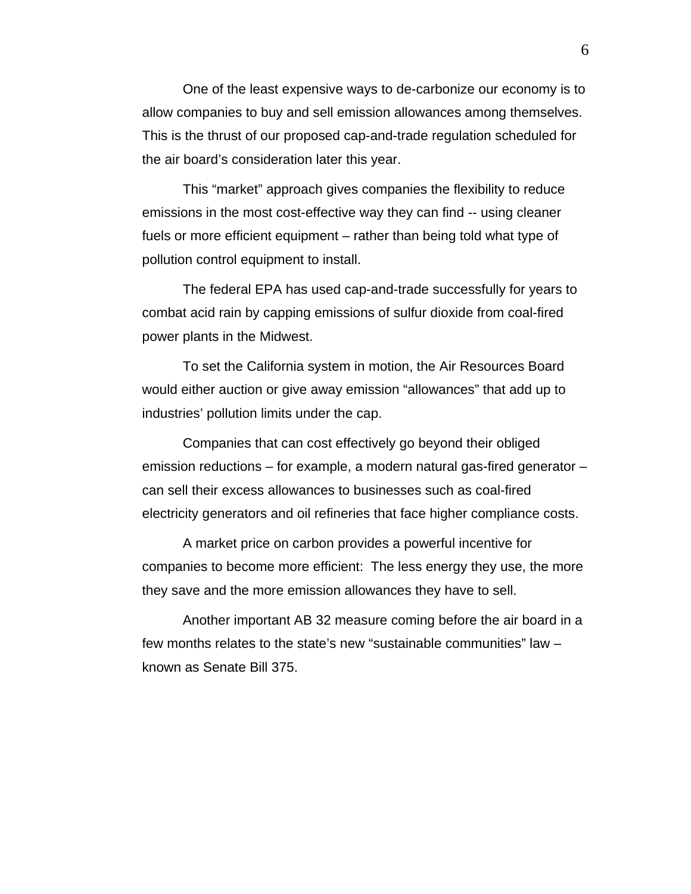One of the least expensive ways to de-carbonize our economy is to allow companies to buy and sell emission allowances among themselves. This is the thrust of our proposed cap-and-trade regulation scheduled for the air board's consideration later this year.

 This "market" approach gives companies the flexibility to reduce emissions in the most cost-effective way they can find -- using cleaner fuels or more efficient equipment – rather than being told what type of pollution control equipment to install.

 The federal EPA has used cap-and-trade successfully for years to combat acid rain by capping emissions of sulfur dioxide from coal-fired power plants in the Midwest.

 To set the California system in motion, the Air Resources Board would either auction or give away emission "allowances" that add up to industries' pollution limits under the cap.

 Companies that can cost effectively go beyond their obliged emission reductions – for example, a modern natural gas-fired generator – can sell their excess allowances to businesses such as coal-fired electricity generators and oil refineries that face higher compliance costs.

 A market price on carbon provides a powerful incentive for companies to become more efficient: The less energy they use, the more they save and the more emission allowances they have to sell.

 Another important AB 32 measure coming before the air board in a few months relates to the state's new "sustainable communities" law – known as Senate Bill 375.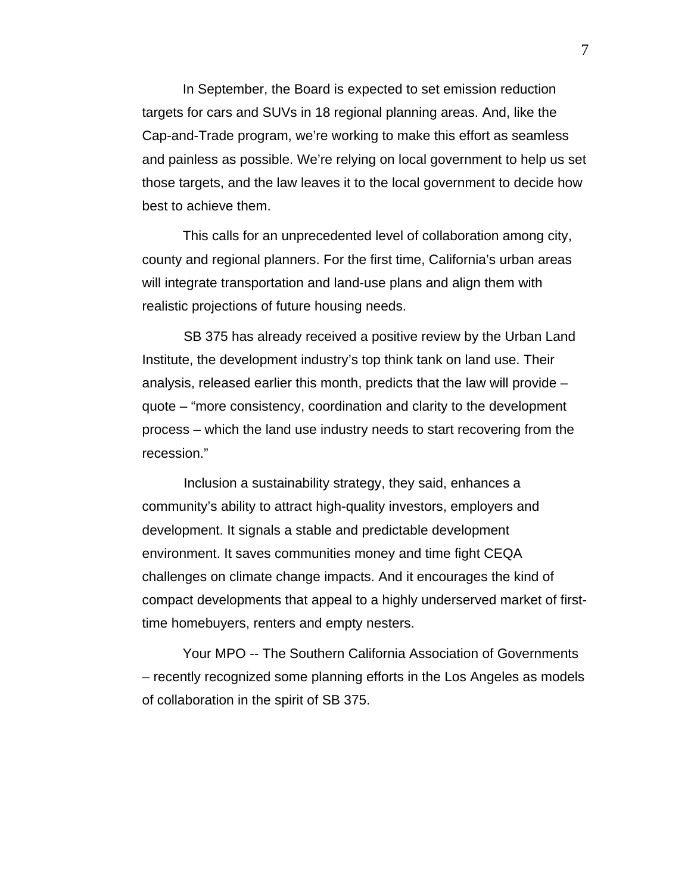In September, the Board is expected to set emission reduction targets for cars and SUVs in 18 regional planning areas. And, like the Cap-and-Trade program, we're working to make this effort as seamless and painless as possible. We're relying on local government to help us set those targets, and the law leaves it to the local government to decide how best to achieve them.

 This calls for an unprecedented level of collaboration among city, county and regional planners. For the first time, California's urban areas will integrate transportation and land-use plans and align them with realistic projections of future housing needs.

 SB 375 has already received a positive review by the Urban Land Institute, the development industry's top think tank on land use. Their analysis, released earlier this month, predicts that the law will provide – quote – "more consistency, coordination and clarity to the development process – which the land use industry needs to start recovering from the recession."

 Inclusion a sustainability strategy, they said, enhances a community's ability to attract high-quality investors, employers and development. It signals a stable and predictable development environment. It saves communities money and time fight CEQA challenges on climate change impacts. And it encourages the kind of compact developments that appeal to a highly underserved market of firsttime homebuyers, renters and empty nesters.

 Your MPO -- The Southern California Association of Governments – recently recognized some planning efforts in the Los Angeles as models of collaboration in the spirit of SB 375.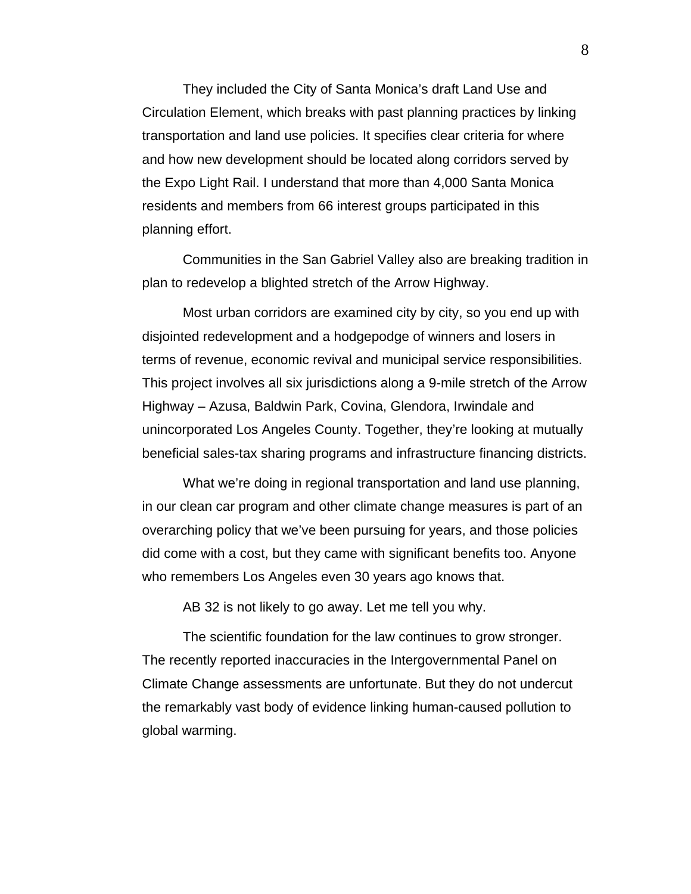They included the City of Santa Monica's draft Land Use and Circulation Element, which breaks with past planning practices by linking transportation and land use policies. It specifies clear criteria for where and how new development should be located along corridors served by the Expo Light Rail. I understand that more than 4,000 Santa Monica residents and members from 66 interest groups participated in this planning effort.

 Communities in the San Gabriel Valley also are breaking tradition in plan to redevelop a blighted stretch of the Arrow Highway.

 Most urban corridors are examined city by city, so you end up with disjointed redevelopment and a hodgepodge of winners and losers in terms of revenue, economic revival and municipal service responsibilities. This project involves all six jurisdictions along a 9-mile stretch of the Arrow Highway – Azusa, Baldwin Park, Covina, Glendora, Irwindale and unincorporated Los Angeles County. Together, they're looking at mutually beneficial sales-tax sharing programs and infrastructure financing districts.

What we're doing in regional transportation and land use planning, in our clean car program and other climate change measures is part of an overarching policy that we've been pursuing for years, and those policies did come with a cost, but they came with significant benefits too. Anyone who remembers Los Angeles even 30 years ago knows that.

AB 32 is not likely to go away. Let me tell you why.

The scientific foundation for the law continues to grow stronger. The recently reported inaccuracies in the Intergovernmental Panel on Climate Change assessments are unfortunate. But they do not undercut the remarkably vast body of evidence linking human-caused pollution to global warming.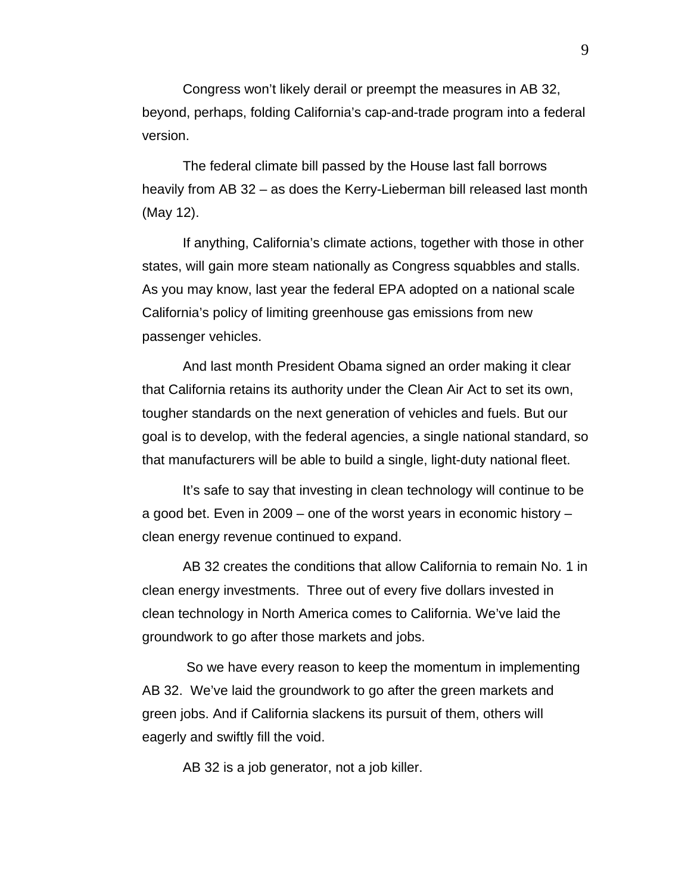Congress won't likely derail or preempt the measures in AB 32, beyond, perhaps, folding California's cap-and-trade program into a federal version.

 The federal climate bill passed by the House last fall borrows heavily from AB 32 – as does the Kerry-Lieberman bill released last month (May 12).

 If anything, California's climate actions, together with those in other states, will gain more steam nationally as Congress squabbles and stalls. As you may know, last year the federal EPA adopted on a national scale California's policy of limiting greenhouse gas emissions from new passenger vehicles.

 And last month President Obama signed an order making it clear that California retains its authority under the Clean Air Act to set its own, tougher standards on the next generation of vehicles and fuels. But our goal is to develop, with the federal agencies, a single national standard, so that manufacturers will be able to build a single, light-duty national fleet.

 It's safe to say that investing in clean technology will continue to be a good bet. Even in 2009 – one of the worst years in economic history – clean energy revenue continued to expand.

 AB 32 creates the conditions that allow California to remain No. 1 in clean energy investments. Three out of every five dollars invested in clean technology in North America comes to California. We've laid the groundwork to go after those markets and jobs.

 So we have every reason to keep the momentum in implementing AB 32. We've laid the groundwork to go after the green markets and green jobs. And if California slackens its pursuit of them, others will eagerly and swiftly fill the void.

AB 32 is a job generator, not a job killer.